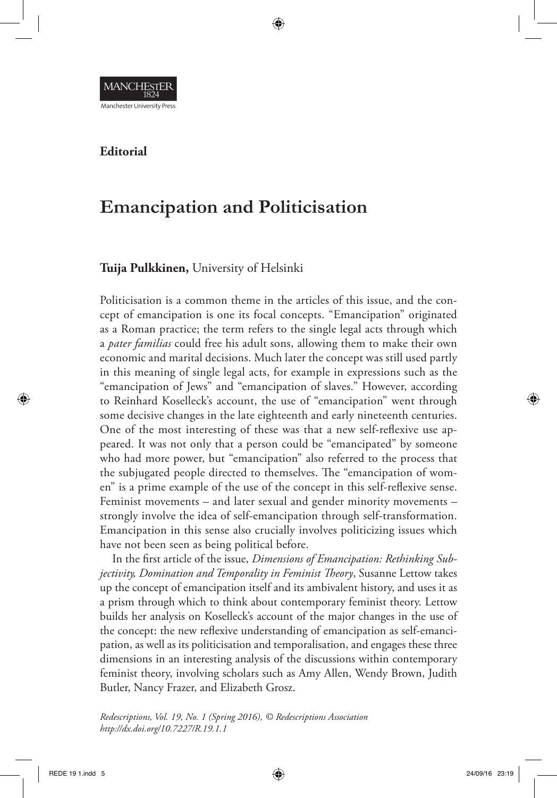

## **Editorial**

# **Emancipation and Politicisation**

## **Tuija Pulkkinen,** University of Helsinki

Politicisation is a common theme in the articles of this issue, and the concept of emancipation is one its focal concepts. "Emancipation" originated as a Roman practice; the term refers to the single legal acts through which a *pater familias* could free his adult sons, allowing them to make their own economic and marital decisions. Much later the concept was still used partly in this meaning of single legal acts, for example in expressions such as the "emancipation of Jews" and "emancipation of slaves." However, according to Reinhard Koselleck's account, the use of "emancipation" went through some decisive changes in the late eighteenth and early nineteenth centuries. One of the most interesting of these was that a new self-reflexive use appeared. It was not only that a person could be "emancipated" by someone who had more power, but "emancipation" also referred to the process that the subjugated people directed to themselves. The "emancipation of women" is a prime example of the use of the concept in this self-reflexive sense. Feminist movements – and later sexual and gender minority movements – strongly involve the idea of self-emancipation through self-transformation. Emancipation in this sense also crucially involves politicizing issues which have not been seen as being political before.

In the first article of the issue, *Dimensions of Emancipation: Rethinking Subjectivity, Domination and Temporality in Feminist Theory*, Susanne Lettow takes up the concept of emancipation itself and its ambivalent history, and uses it as a prism through which to think about contemporary feminist theory. Lettow builds her analysis on Koselleck's account of the major changes in the use of the concept: the new reflexive understanding of emancipation as self-emancipation, as well as its politicisation and temporalisation, and engages these three dimensions in an interesting analysis of the discussions within contemporary feminist theory, involving scholars such as Amy Allen, Wendy Brown, Judith Butler, Nancy Frazer, and Elizabeth Grosz.

*Redescriptions, Vol. 19, No. 1 (Spring 2016), © Redescriptions Association http://dx.doi.org/10.7227/R.19.1.1*

⊕

◈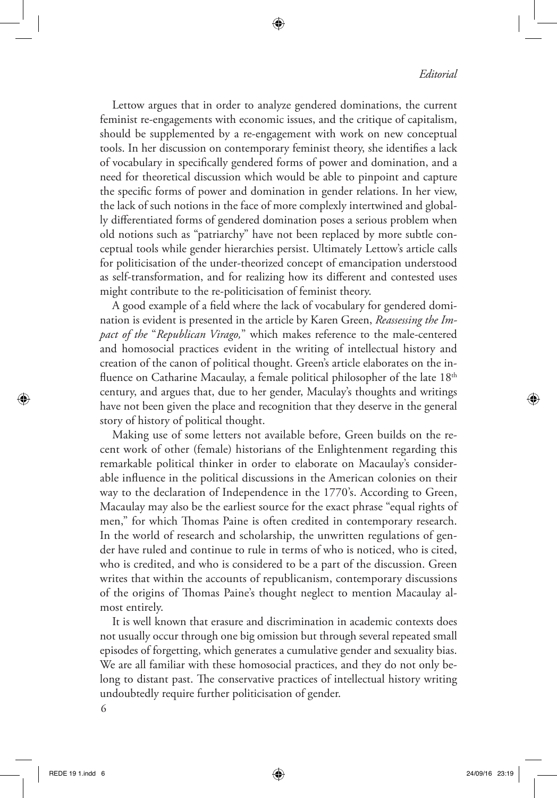#### *Editorial*

Lettow argues that in order to analyze gendered dominations, the current feminist re-engagements with economic issues, and the critique of capitalism, should be supplemented by a re-engagement with work on new conceptual tools. In her discussion on contemporary feminist theory, she identifies a lack of vocabulary in specifically gendered forms of power and domination, and a need for theoretical discussion which would be able to pinpoint and capture the specific forms of power and domination in gender relations. In her view, the lack of such notions in the face of more complexly intertwined and globally differentiated forms of gendered domination poses a serious problem when old notions such as "patriarchy" have not been replaced by more subtle conceptual tools while gender hierarchies persist. Ultimately Lettow's article calls for politicisation of the under-theorized concept of emancipation understood as self-transformation, and for realizing how its different and contested uses might contribute to the re-politicisation of feminist theory.

⊕

A good example of a field where the lack of vocabulary for gendered domination is evident is presented in the article by Karen Green, *Reassessing the Impact of the* "*Republican Virago,*" which makes reference to the male-centered and homosocial practices evident in the writing of intellectual history and creation of the canon of political thought. Green's article elaborates on the influence on Catharine Macaulay, a female political philosopher of the late  $18<sup>th</sup>$ century, and argues that, due to her gender, Maculay's thoughts and writings have not been given the place and recognition that they deserve in the general story of history of political thought.

Making use of some letters not available before, Green builds on the recent work of other (female) historians of the Enlightenment regarding this remarkable political thinker in order to elaborate on Macaulay's considerable influence in the political discussions in the American colonies on their way to the declaration of Independence in the 1770's. According to Green, Macaulay may also be the earliest source for the exact phrase "equal rights of men," for which Thomas Paine is often credited in contemporary research. In the world of research and scholarship, the unwritten regulations of gender have ruled and continue to rule in terms of who is noticed, who is cited, who is credited, and who is considered to be a part of the discussion. Green writes that within the accounts of republicanism, contemporary discussions of the origins of Thomas Paine's thought neglect to mention Macaulay almost entirely.

It is well known that erasure and discrimination in academic contexts does not usually occur through one big omission but through several repeated small episodes of forgetting, which generates a cumulative gender and sexuality bias. We are all familiar with these homosocial practices, and they do not only belong to distant past. The conservative practices of intellectual history writing undoubtedly require further politicisation of gender.

6

⊕

◈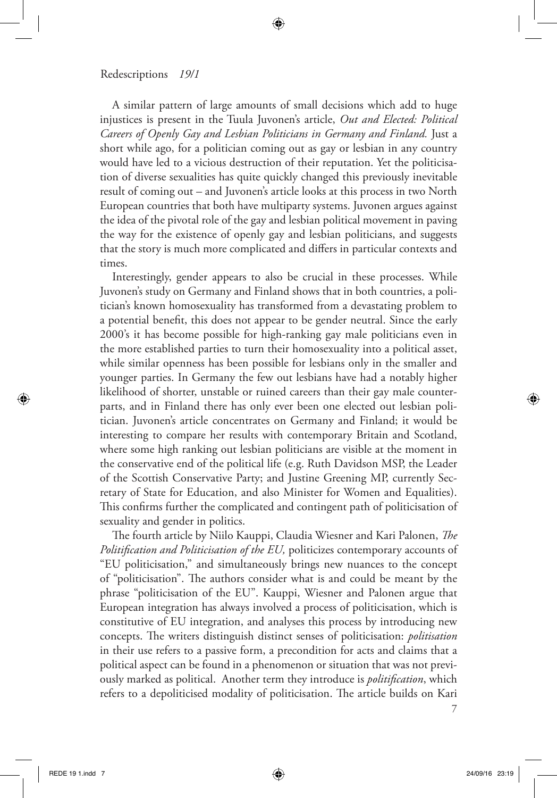#### Redescriptions *19/1*

A similar pattern of large amounts of small decisions which add to huge injustices is present in the Tuula Juvonen's article, *Out and Elected: Political Careers of Openly Gay and Lesbian Politicians in Germany and Finland.* Just a short while ago, for a politician coming out as gay or lesbian in any country would have led to a vicious destruction of their reputation. Yet the politicisation of diverse sexualities has quite quickly changed this previously inevitable result of coming out – and Juvonen's article looks at this process in two North European countries that both have multiparty systems. Juvonen argues against the idea of the pivotal role of the gay and lesbian political movement in paving the way for the existence of openly gay and lesbian politicians, and suggests that the story is much more complicated and differs in particular contexts and times.

Interestingly, gender appears to also be crucial in these processes. While Juvonen's study on Germany and Finland shows that in both countries, a politician's known homosexuality has transformed from a devastating problem to a potential benefit, this does not appear to be gender neutral. Since the early 2000's it has become possible for high-ranking gay male politicians even in the more established parties to turn their homosexuality into a political asset, while similar openness has been possible for lesbians only in the smaller and younger parties. In Germany the few out lesbians have had a notably higher likelihood of shorter, unstable or ruined careers than their gay male counterparts, and in Finland there has only ever been one elected out lesbian politician. Juvonen's article concentrates on Germany and Finland; it would be interesting to compare her results with contemporary Britain and Scotland, where some high ranking out lesbian politicians are visible at the moment in the conservative end of the political life (e.g. Ruth Davidson MSP, the Leader of the Scottish Conservative Party; and Justine Greening MP, currently Secretary of State for Education, and also Minister for Women and Equalities). This confirms further the complicated and contingent path of politicisation of sexuality and gender in politics.

The fourth article by Niilo Kauppi, Claudia Wiesner and Kari Palonen, *The Politification and Politicisation of the EU,* politicizes contemporary accounts of "EU politicisation," and simultaneously brings new nuances to the concept of "politicisation". The authors consider what is and could be meant by the phrase "politicisation of the EU". Kauppi, Wiesner and Palonen argue that European integration has always involved a process of politicisation, which is constitutive of EU integration, and analyses this process by introducing new concepts. The writers distinguish distinct senses of politicisation: *politisation*  in their use refers to a passive form, a precondition for acts and claims that a political aspect can be found in a phenomenon or situation that was not previously marked as political. Another term they introduce is *politification*, which refers to a depoliticised modality of politicisation. The article builds on Kari

7

⊕

(⊕)